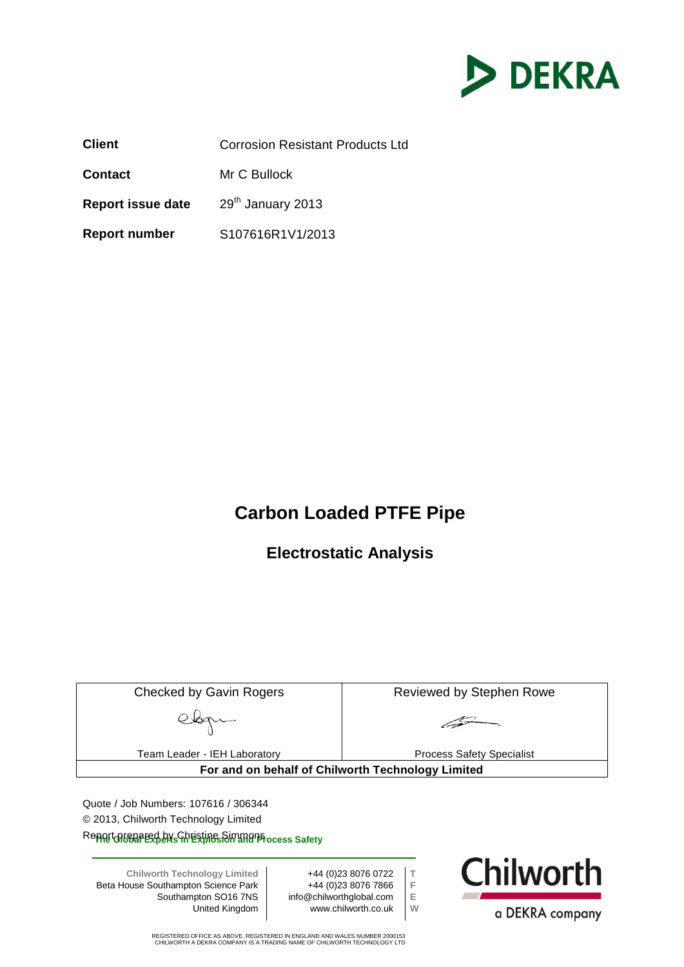

**Client** Corrosion Resistant Products Ltd **Contact** Mr C Bullock **Report issue date** 29<sup>th</sup> January 2013 **Report number** S107616R1V1/2013

### **Carbon Loaded PTFE Pipe**

**Electrostatic Analysis**

| <b>Checked by Gavin Rogers</b>                                                                                                                                                                                                                                                                                                                             |  |  | Reviewed by Stephen Rowe                          |  |  |
|------------------------------------------------------------------------------------------------------------------------------------------------------------------------------------------------------------------------------------------------------------------------------------------------------------------------------------------------------------|--|--|---------------------------------------------------|--|--|
|                                                                                                                                                                                                                                                                                                                                                            |  |  |                                                   |  |  |
| Team Leader - IEH Laboratory                                                                                                                                                                                                                                                                                                                               |  |  | <b>Process Safety Specialist</b>                  |  |  |
|                                                                                                                                                                                                                                                                                                                                                            |  |  | For and on behalf of Chilworth Technology Limited |  |  |
| Quote / Job Numbers: 107616 / 306344<br>© 2013, Chilworth Technology Limited<br>Reppet of Geogreed by Schristing Simman Process Safety                                                                                                                                                                                                                     |  |  |                                                   |  |  |
| <b>Chilworth</b><br>+44 (0) 23 8076 0722<br><b>Chilworth Technology Limited</b><br>F<br>+44 (0)23 8076 7866<br>Beta House Southampton Science Park<br>info@chilworthglobal.com<br>Ε<br>Southampton SO16 7NS<br>W<br>www.chilworth.co.uk<br>United Kingdom<br>a DEKRA company<br>REGISTERED OFFICE AS ABOVE. REGISTERED IN ENGLAND AND WALES NUMBER 2000153 |  |  |                                                   |  |  |
| CHILWORTH A DEKRA COMPANY IS A TRADING NAME OF CHILWORTH TECHNOLOGY LTD                                                                                                                                                                                                                                                                                    |  |  |                                                   |  |  |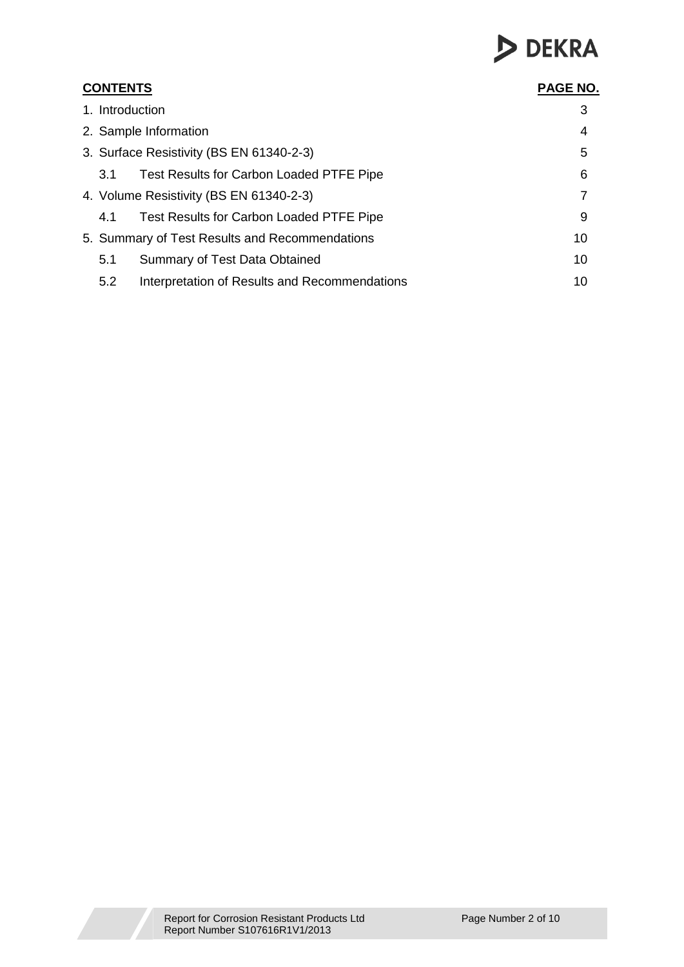# DEKRA

| <b>CONTENTS</b>                                      |    |  |  |  |
|------------------------------------------------------|----|--|--|--|
| 1. Introduction                                      | 3  |  |  |  |
| 2. Sample Information                                | 4  |  |  |  |
| 3. Surface Resistivity (BS EN 61340-2-3)             | 5  |  |  |  |
| Test Results for Carbon Loaded PTFE Pipe<br>3.1      | 6  |  |  |  |
| 4. Volume Resistivity (BS EN 61340-2-3)              | 7  |  |  |  |
| Test Results for Carbon Loaded PTFE Pipe<br>4.1      | 9  |  |  |  |
| 5. Summary of Test Results and Recommendations       | 10 |  |  |  |
| 5.1<br>Summary of Test Data Obtained                 | 10 |  |  |  |
| 5.2<br>Interpretation of Results and Recommendations | 10 |  |  |  |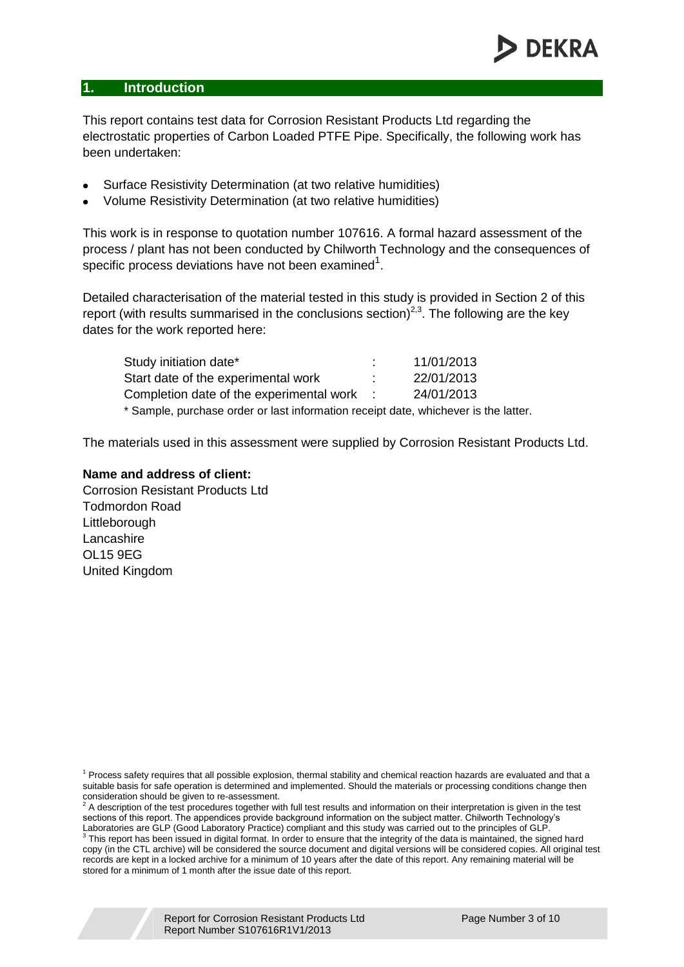#### **1. Introduction**

This report contains test data for Corrosion Resistant Products Ltd regarding the electrostatic properties of Carbon Loaded PTFE Pipe. Specifically, the following work has been undertaken:

- Surface Resistivity Determination (at two relative humidities)
- Volume Resistivity Determination (at two relative humidities)  $\bullet$

This work is in response to quotation number 107616. A formal hazard assessment of the process / plant has not been conducted by Chilworth Technology and the consequences of specific process deviations have not been examined<sup>1</sup>.

Detailed characterisation of the material tested in this study is provided in Section 2 of this report (with results summarised in the conclusions section)<sup>2,3</sup>. The following are the key dates for the work reported here:

| Study initiation date*                                                              | 11/01/2013 |
|-------------------------------------------------------------------------------------|------------|
| Start date of the experimental work                                                 | 22/01/2013 |
| Completion date of the experimental work :                                          | 24/01/2013 |
| * Sample, purchase order or last information receipt date, whichever is the latter. |            |

The materials used in this assessment were supplied by Corrosion Resistant Products Ltd.

#### **Name and address of client:**

Corrosion Resistant Products Ltd Todmordon Road Littleborough Lancashire OL15 9EG United Kingdom

<sup>1</sup> Process safety requires that all possible explosion, thermal stability and chemical reaction hazards are evaluated and that a suitable basis for safe operation is determined and implemented. Should the materials or processing conditions change then consideration should be given to re-assessment.<br>
consideration should be given to re-assessment.

 $\frac{2}{3}$  A description of the test procedures together with full test results and information on their interpretation is given in the test sections of this report. The appendices provide background information on the subject matter. Chilworth Technology's

Laboratories are GLP (Good Laboratory Practice) compliant and this study was carried out to the principles of GLP.<br><sup>3</sup> This report has been issued in digital format. In order to ensure that the integrity of the data is mai copy (in the CTL archive) will be considered the source document and digital versions will be considered copies. All original test records are kept in a locked archive for a minimum of 10 years after the date of this report. Any remaining material will be stored for a minimum of 1 month after the issue date of this report.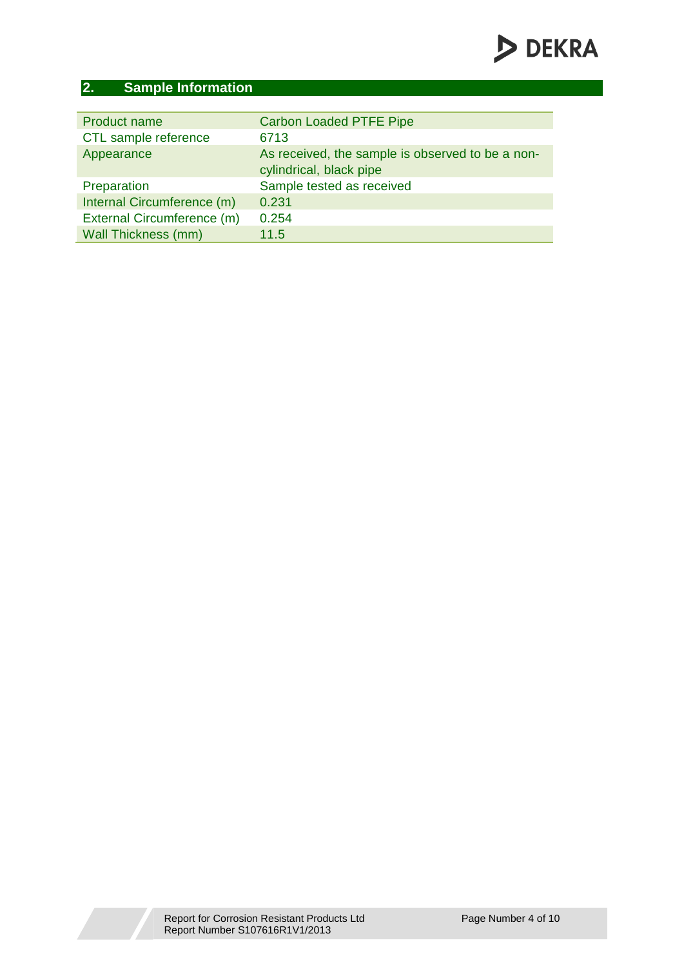### **2. Sample Information**

| Product name               | <b>Carbon Loaded PTFE Pipe</b>                                              |
|----------------------------|-----------------------------------------------------------------------------|
| CTL sample reference       | 6713                                                                        |
| Appearance                 | As received, the sample is observed to be a non-<br>cylindrical, black pipe |
| Preparation                | Sample tested as received                                                   |
| Internal Circumference (m) | 0.231                                                                       |
| External Circumference (m) | 0.254                                                                       |
| <b>Wall Thickness (mm)</b> | 11.5                                                                        |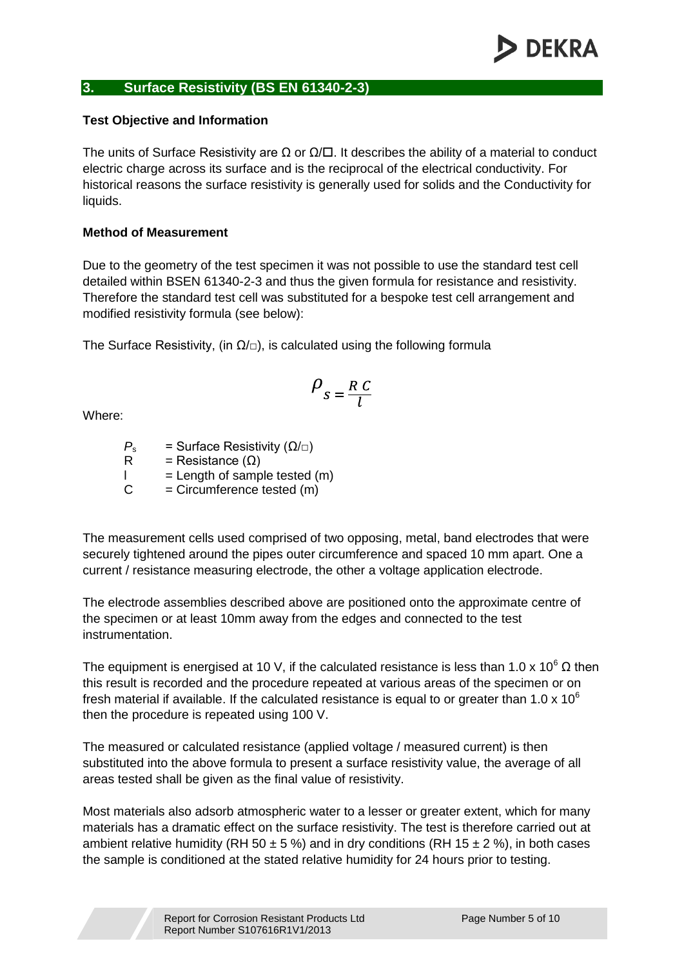#### **3. Surface Resistivity (BS EN 61340-2-3)**

#### **Test Objective and Information**

The units of Surface Resistivity are  $\Omega$  or  $\Omega/\square$ . It describes the ability of a material to conduct electric charge across its surface and is the reciprocal of the electrical conductivity. For historical reasons the surface resistivity is generally used for solids and the Conductivity for liquids.

#### **Method of Measurement**

Due to the geometry of the test specimen it was not possible to use the standard test cell detailed within BSEN 61340-2-3 and thus the given formula for resistance and resistivity. Therefore the standard test cell was substituted for a bespoke test cell arrangement and modified resistivity formula (see below):

The Surface Resistivity, (in  $\Omega/\Box$ ), is calculated using the following formula

$$
\rho_{s} = \frac{R C}{l}
$$

Where:

*P<sub>s</sub>* = Surface Resistivity ( $Ω/□$ )<br>R = Resistance ( $O$ )  $=$  Resistance  $($  $Q)$  $\vert$  = Length of sample tested  $(m)$  $C = C$  ircumference tested  $(m)$ 

The measurement cells used comprised of two opposing, metal, band electrodes that were securely tightened around the pipes outer circumference and spaced 10 mm apart. One a current / resistance measuring electrode, the other a voltage application electrode.

The electrode assemblies described above are positioned onto the approximate centre of the specimen or at least 10mm away from the edges and connected to the test instrumentation.

The equipment is energised at 10 V, if the calculated resistance is less than 1.0 x 10<sup>6</sup>  $\Omega$  then this result is recorded and the procedure repeated at various areas of the specimen or on fresh material if available. If the calculated resistance is equal to or greater than 1.0 x 10 $^6$ then the procedure is repeated using 100 V.

The measured or calculated resistance (applied voltage / measured current) is then substituted into the above formula to present a surface resistivity value, the average of all areas tested shall be given as the final value of resistivity.

Most materials also adsorb atmospheric water to a lesser or greater extent, which for many materials has a dramatic effect on the surface resistivity. The test is therefore carried out at ambient relative humidity (RH 50  $\pm$  5 %) and in dry conditions (RH 15  $\pm$  2 %), in both cases the sample is conditioned at the stated relative humidity for 24 hours prior to testing.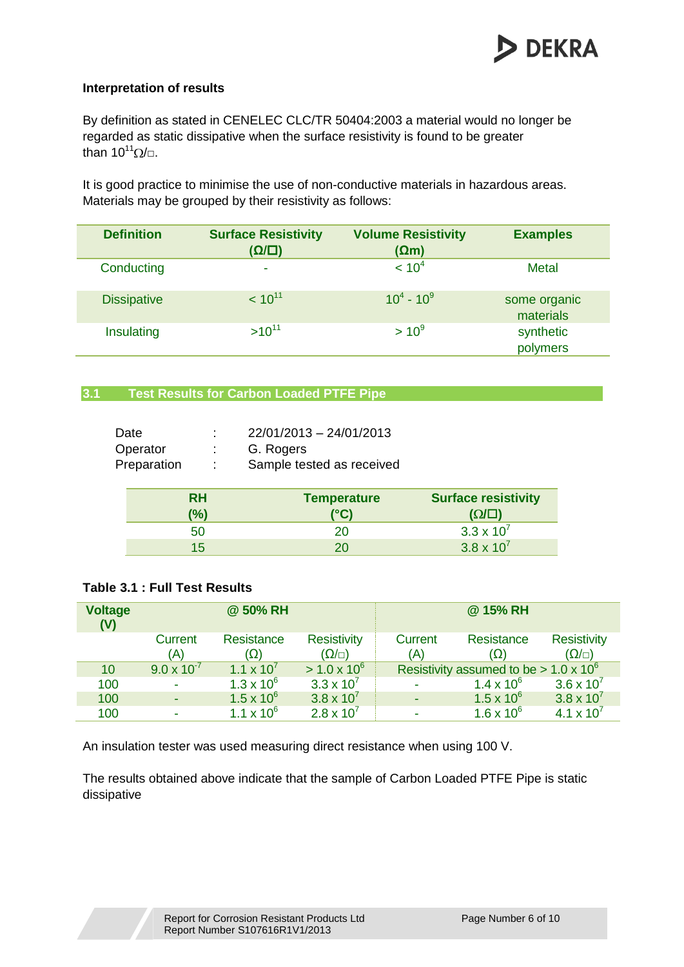

itv

#### **Interpretation of results**

By definition as stated in CENELEC CLC/TR 50404:2003 a material would no longer be regarded as static dissipative when the surface resistivity is found to be greater than  $10^{11}$  $\Omega/\Box$ .

It is good practice to minimise the use of non-conductive materials in hazardous areas. Materials may be grouped by their resistivity as follows:

| <b>Definition</b>  | <b>Surface Resistivity</b><br>$(\Omega/\square)$ | <b>Volume Resistivity</b><br>$(\Omega m)$ | <b>Examples</b>           |
|--------------------|--------------------------------------------------|-------------------------------------------|---------------------------|
| Conducting         | ٠                                                | < 10 <sup>4</sup>                         | Metal                     |
| <b>Dissipative</b> | $< 10^{11}$                                      | $10^4 - 10^9$                             | some organic<br>materials |
| Insulating         | $>10^{11}$                                       | $> 10^9$                                  | synthetic<br>polymers     |

#### **3.1 Test Results for Carbon Loaded PTFE Pipe**

| Date<br>Operator<br>Preparation | ٠<br>t<br>÷ | 22/01/2013 - 24/01/2013<br>G. Rogers<br>Sample tested as received |                         |
|---------------------------------|-------------|-------------------------------------------------------------------|-------------------------|
|                                 | <b>RH</b>   | <b>Temperature</b>                                                | <b>Surface resistiv</b> |
|                                 | $(\%)$      | (°C)                                                              | $(\Omega/\square)$      |
|                                 | 50          | 20                                                                | $3.3 \times 10^{7}$     |
|                                 | 15          | 20                                                                | $3.8 \times 10^{7}$     |

#### **Table 3.1 : Full Test Results**

| <b>Voltage</b><br>(V) |                       | @ 50% RH            |                                       |                       | @ 15% RH                                      |                                       |
|-----------------------|-----------------------|---------------------|---------------------------------------|-----------------------|-----------------------------------------------|---------------------------------------|
|                       | <b>Current</b><br>(A) | Resistance<br>(Ω)   | <b>Resistivity</b><br>$(\Omega/\Box)$ | <b>Current</b><br>(A) | Resistance<br>(Ω)                             | <b>Resistivity</b><br>$(\Omega/\Box)$ |
| 10                    | $9.0 \times 10^{-7}$  | $1.1 \times 10^{7}$ | $> 1.0 \times 10^6$                   |                       | Resistivity assumed to be $> 1.0 \times 10^6$ |                                       |
| 100                   |                       | $1.3 \times 10^{6}$ | $3.3 \times 10^{7}$                   |                       | $1.4 \times 10^{6}$                           | $3.6 \times 10^{7}$                   |
| 100                   |                       | $1.5 \times 10^{6}$ | $3.8 \times 10^{7}$                   |                       | $1.5 \times 10^{6}$                           | $3.8 \times 10^{7}$                   |
| 100                   |                       | $1.1 \times 10^{6}$ | $2.8 \times 10^{7}$                   |                       | $1.6 \times 10^{6}$                           | 4.1 $\times$ 10 <sup>7</sup>          |

An insulation tester was used measuring direct resistance when using 100 V.

The results obtained above indicate that the sample of Carbon Loaded PTFE Pipe is static dissipative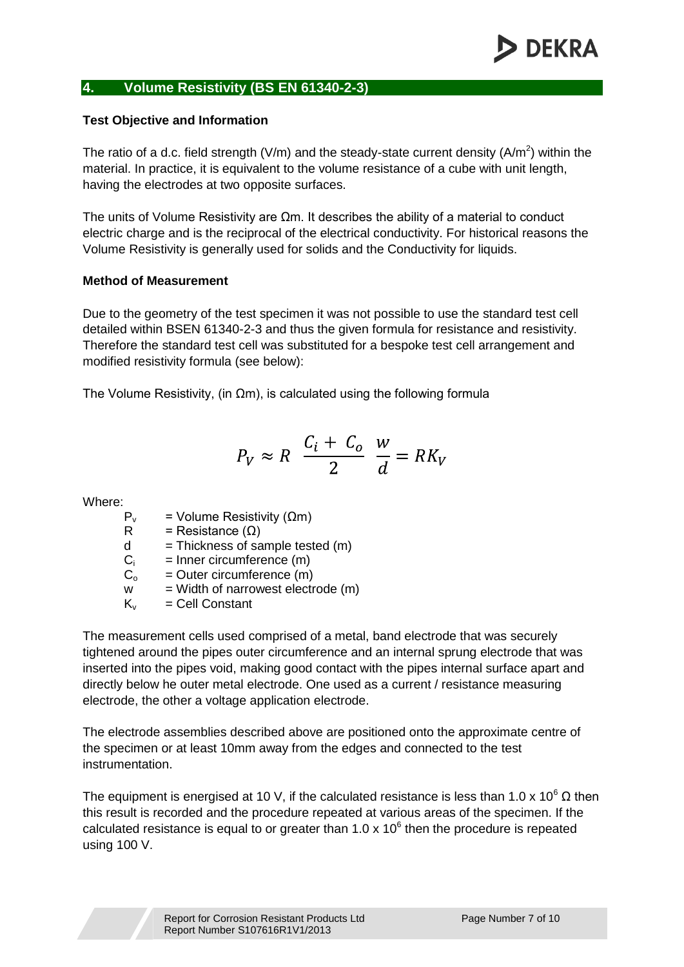#### **4. Volume Resistivity (BS EN 61340-2-3)**

#### **Test Objective and Information**

The ratio of a d.c. field strength (V/m) and the steady-state current density (A/m<sup>2</sup>) within the material. In practice, it is equivalent to the volume resistance of a cube with unit length, having the electrodes at two opposite surfaces.

The units of Volume Resistivity are Ωm. It describes the ability of a material to conduct electric charge and is the reciprocal of the electrical conductivity. For historical reasons the Volume Resistivity is generally used for solids and the Conductivity for liquids.

#### **Method of Measurement**

Due to the geometry of the test specimen it was not possible to use the standard test cell detailed within BSEN 61340-2-3 and thus the given formula for resistance and resistivity. Therefore the standard test cell was substituted for a bespoke test cell arrangement and modified resistivity formula (see below):

The Volume Resistivity, (in  $\Omega$ m), is calculated using the following formula

$$
P_V \approx R \frac{C_i + C_o}{2} \frac{w}{d} = RK_V
$$

Where:

- $P<sub>v</sub>$  = Volume Resistivity (Ωm)
- R = Resistance  $(\Omega)$
- $d = Thickness of sample tested (m)$
- $C_i$  = Inner circumference  $(m)$
- $C_0$  = Outer circumference (m)
- $w =$  Width of narrowest electrode  $(m)$
- $K_v$  = Cell Constant

The measurement cells used comprised of a metal, band electrode that was securely tightened around the pipes outer circumference and an internal sprung electrode that was inserted into the pipes void, making good contact with the pipes internal surface apart and directly below he outer metal electrode. One used as a current / resistance measuring electrode, the other a voltage application electrode.

The electrode assemblies described above are positioned onto the approximate centre of the specimen or at least 10mm away from the edges and connected to the test instrumentation.

The equipment is energised at 10 V, if the calculated resistance is less than 1.0 x 10<sup>6</sup>  $\Omega$  then this result is recorded and the procedure repeated at various areas of the specimen. If the calculated resistance is equal to or greater than  $1.0 \times 10^6$  then the procedure is repeated using 100 V.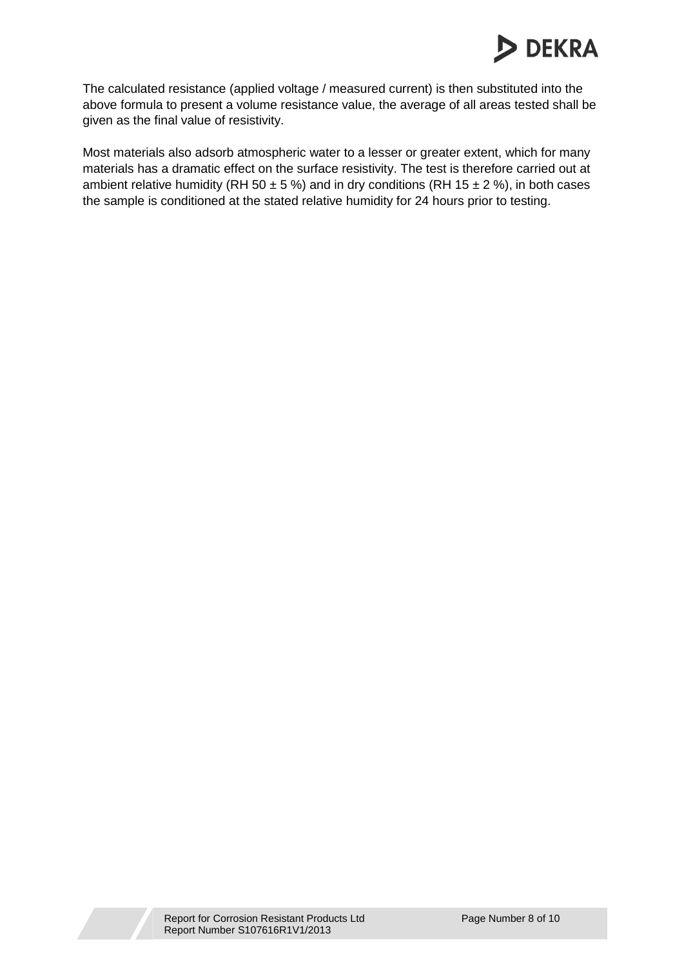## **DEKRA**

The calculated resistance (applied voltage / measured current) is then substituted into the above formula to present a volume resistance value, the average of all areas tested shall be given as the final value of resistivity.

Most materials also adsorb atmospheric water to a lesser or greater extent, which for many materials has a dramatic effect on the surface resistivity. The test is therefore carried out at ambient relative humidity (RH 50  $\pm$  5 %) and in dry conditions (RH 15  $\pm$  2 %), in both cases the sample is conditioned at the stated relative humidity for 24 hours prior to testing.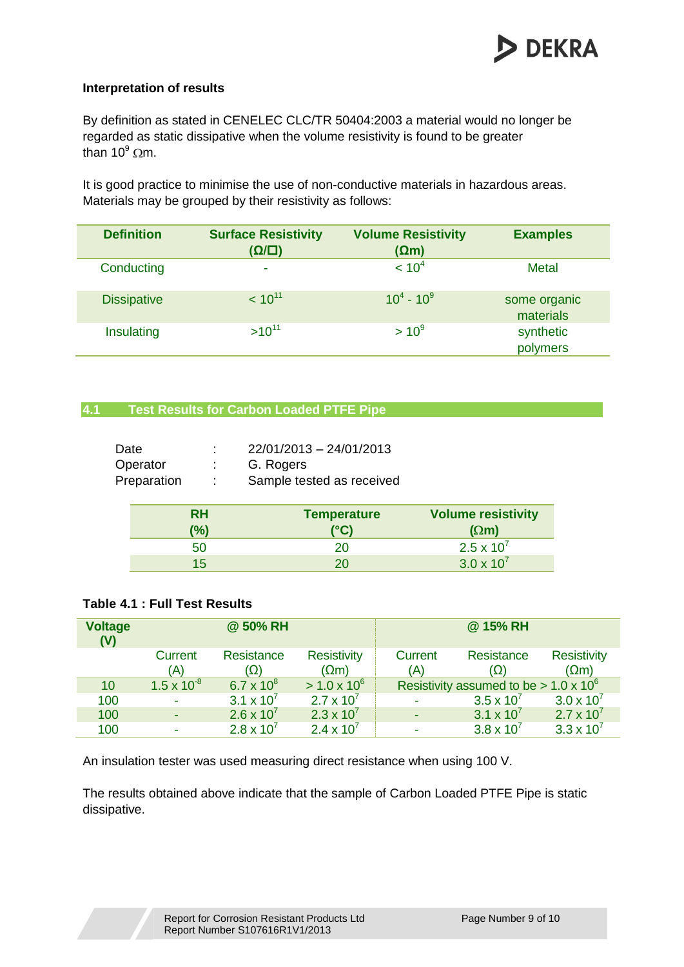

#### **Interpretation of results**

By definition as stated in CENELEC CLC/TR 50404:2003 a material would no longer be regarded as static dissipative when the volume resistivity is found to be greater than  $10^9$  Qm.

It is good practice to minimise the use of non-conductive materials in hazardous areas. Materials may be grouped by their resistivity as follows:

| <b>Definition</b>  | <b>Surface Resistivity</b><br>$(\Omega/\square)$ | <b>Volume Resistivity</b><br>$(\Omega m)$ | <b>Examples</b>           |
|--------------------|--------------------------------------------------|-------------------------------------------|---------------------------|
| Conducting         | ٠                                                | < 10 <sup>4</sup>                         | <b>Metal</b>              |
| <b>Dissipative</b> | $< 10^{11}$                                      | $10^4 - 10^9$                             | some organic<br>materials |
| Insulating         | $>10^{11}$                                       | $> 10^9$                                  | synthetic<br>polymers     |

#### **4.1 Test Results for Carbon Loaded PTFE Pipe**

| Date | Operator<br>Preparation | ÷<br>÷    | 22/01/2013 - 24/01/2013<br>G. Rogers<br>Sample tested as received |                           |
|------|-------------------------|-----------|-------------------------------------------------------------------|---------------------------|
|      |                         | <b>RH</b> | <b>Temperature</b>                                                | <b>Volume resistivity</b> |
|      |                         | (%)       | (°C)                                                              | $(\Omega m)$              |
|      |                         | 50        | 20                                                                | $2.5 \times 10^{7}$       |
|      |                         | 15        | 20                                                                | $3.0 \times 10^{7}$       |

#### **Table 4.1 : Full Test Results**

| <b>Voltage</b><br>(V) |                      | @ 50% RH            |                                    |                | @ 15% RH                                      |                                    |
|-----------------------|----------------------|---------------------|------------------------------------|----------------|-----------------------------------------------|------------------------------------|
|                       | Current<br>(A)       | Resistance<br>(Ω)   | <b>Resistivity</b><br>$(\Omega m)$ | Current<br>(A) | Resistance<br>(Ω)                             | <b>Resistivity</b><br>$(\Omega m)$ |
| 10                    | $1.5 \times 10^{-8}$ | 6.7 x $10^8$        | $> 1.0 \times 10^6$                |                | Resistivity assumed to be $> 1.0 \times 10^6$ |                                    |
| 100                   |                      | $3.1 \times 10^{7}$ | $2.7 \times 10^{7}$                |                | $3.5 \times 10^{7}$                           | $3.0 \times 10^{7}$                |
| 100                   |                      | $2.6 \times 10^{7}$ | $2.3 \times 10^{7}$                |                | $3.1 \times 10^{7}$                           | $2.7 \times 10^{7}$                |
| 100                   |                      | $2.8 \times 10^{7}$ | $2.4 \times 10^{7}$                |                | $3.8 \times 10^{7}$                           | $3.3 \times 10^{7}$                |

An insulation tester was used measuring direct resistance when using 100 V.

The results obtained above indicate that the sample of Carbon Loaded PTFE Pipe is static dissipative.